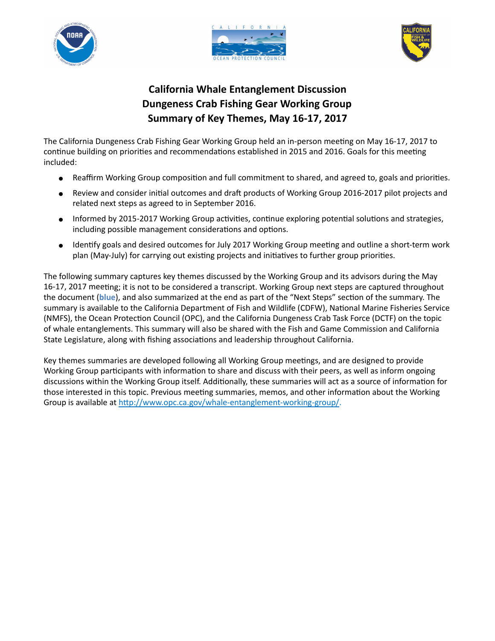





# **California Whale Entanglement Discussion Dungeness Crab Fishing Gear Working Group Summary of Key Themes, May 16-17, 2017**

The California Dungeness Crab Fishing Gear Working Group held an in-person meeting on May 16-17, 2017 to continue building on priorities and recommendations established in 2015 and 2016. Goals for this meeting included:

- Reaffirm Working Group composition and full commitment to shared, and agreed to, goals and priorities.
- Review and consider initial outcomes and draft products of Working Group 2016-2017 pilot projects and related next steps as agreed to in September 2016.
- Informed by 2015-2017 Working Group activities, continue exploring potential solutions and strategies, including possible management considerations and options.
- Identify goals and desired outcomes for July 2017 Working Group meeting and outline a short-term work plan (May-July) for carrying out existing projects and initiatives to further group priorities.

The following summary captures key themes discussed by the Working Group and its advisors during the May 16-17, 2017 meeting; it is not to be considered a transcript. Working Group next steps are captured throughout the document (**blue**), and also summarized at the end as part of the "Next Steps" section of the summary. The summary is available to the California Department of Fish and Wildlife (CDFW), National Marine Fisheries Service (NMFS), the Ocean Protection Council (OPC), and the California Dungeness Crab Task Force (DCTF) on the topic of whale entanglements. This summary will also be shared with the Fish and Game Commission and California State Legislature, along with fishing associations and leadership throughout California.

Key themes summaries are developed following all Working Group meetings, and are designed to provide Working Group participants with information to share and discuss with their peers, as well as inform ongoing discussions within the Working Group itself. Additionally, these summaries will act as a source of information for those interested in this topic. Previous meeting summaries, memos, and other information about the Working Group is available at [http://www.opc.ca.gov/whale-entanglement-working-group/.](http://www.opc.ca.gov/whale-entanglement-working-group/)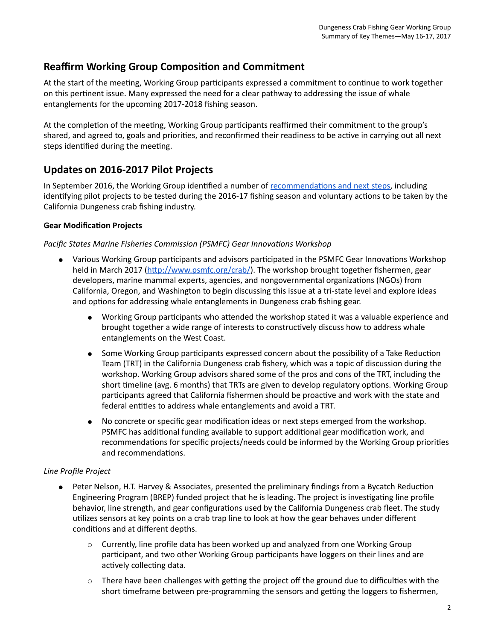## **Reaffirm Working Group Composition and Commitment**

At the start of the meeting, Working Group participants expressed a commitment to continue to work together on this pertinent issue. Many expressed the need for a clear pathway to addressing the issue of whale entanglements for the upcoming 2017-2018 fishing season.

At the completion of the meeting, Working Group participants reaffirmed their commitment to the group's shared, and agreed to, goals and priorities, and reconfirmed their readiness to be active in carrying out all next steps identified during the meeting.

## **Updates on 2016-2017 Pilot Projects**

In September 2016, the Working Group identified a number of recommendations and next steps, including identifying pilot projects to be tested during the 2016-17 fishing season and voluntary actions to be taken by the California Dungeness crab fishing industry.

## **Gear Modification Projects**

### *Pacific States Marine Fisheries Commission (PSMFC) Gear Innovations Workshop*

- Various Working Group participants and advisors participated in the PSMFC Gear Innovations Workshop held in March 2017 [\(](http://www.psmfc.org/crab/)[http://www.psmfc.org/crab/\)](http://www.psmfc.org/crab/). The workshop brought together fishermen, gear developers, marine mammal experts, agencies, and nongovernmental organizations (NGOs) from California, Oregon, and Washington to begin discussing this issue at a tri-state level and explore ideas and options for addressing whale entanglements in Dungeness crab fishing gear.
	- Working Group participants who attended the workshop stated it was a valuable experience and brought together a wide range of interests to constructively discuss how to address whale entanglements on the West Coast.
	- Some Working Group participants expressed concern about the possibility of a Take Reduction Team (TRT) in the California Dungeness crab fishery, which was a topic of discussion during the workshop. Working Group advisors shared some of the pros and cons of the TRT, including the short timeline (avg. 6 months) that TRTs are given to develop regulatory options. Working Group participants agreed that California fishermen should be proactive and work with the state and federal entities to address whale entanglements and avoid a TRT.
	- No concrete or specific gear modification ideas or next steps emerged from the workshop. PSMFC has additional funding available to support additional gear modification work, and recommendations for specific projects/needs could be informed by the Working Group priorities and recommendations.

## *Line Profile Project*

- Peter Nelson, H.T. Harvey & Associates, presented the preliminary findings from a Bycatch Reduction Engineering Program (BREP) funded project that he is leading. The project is investigating line profile behavior, line strength, and gear configurations used by the California Dungeness crab fleet. The study utilizes sensors at key points on a crab trap line to look at how the gear behaves under different conditions and at different depths.
	- $\circ$  Currently, line profile data has been worked up and analyzed from one Working Group participant, and two other Working Group participants have loggers on their lines and are actively collecting data.
	- $\circ$  There have been challenges with getting the project off the ground due to difficulties with the short timeframe between pre-programming the sensors and getting the loggers to fishermen,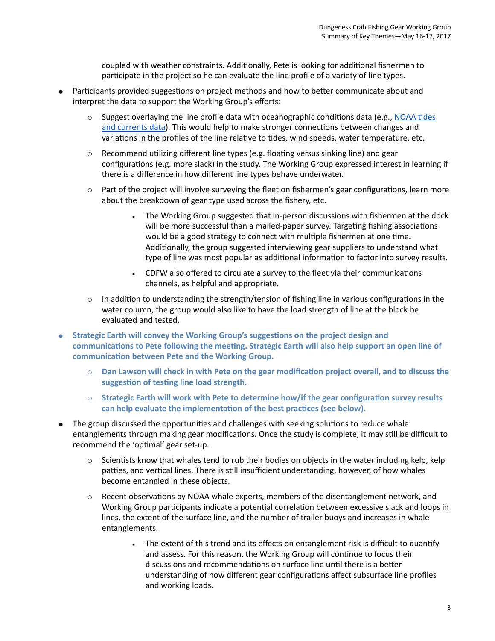coupled with weather constraints. Additionally, Pete is looking for additional fishermen to participate in the project so he can evaluate the line profile of a variety of line types.

- Participants provided suggestions on project methods and how to better communicate about and interpret the data to support the Working Group's efforts:
	- Suggest overlaying the line profile data with oceanographic conditions data (e.g., NOAA tides [and currents data\)](https://tidesandcurrents.noaa.gov/map/index.shtml?region=California). This would help to make stronger connections between changes and variations in the profiles of the line relative to tides, wind speeds, water temperature, etc.
	- $\circ$  Recommend utilizing different line types (e.g. floating versus sinking line) and gear configurations (e.g. more slack) in the study. The Working Group expressed interest in learning if there is a difference in how different line types behave underwater.
	- $\circ$  Part of the project will involve surveying the fleet on fishermen's gear configurations, learn more about the breakdown of gear type used across the fishery, etc.
		- The Working Group suggested that in-person discussions with fishermen at the dock will be more successful than a mailed-paper survey. Targeting fishing associations would be a good strategy to connect with multiple fishermen at one time. Additionally, the group suggested interviewing gear suppliers to understand what type of line was most popular as additional information to factor into survey results.
		- CDFW also offered to circulate a survey to the fleet via their communications channels, as helpful and appropriate.
	- $\circ$  In addition to understanding the strength/tension of fishing line in various configurations in the water column, the group would also like to have the load strength of line at the block be evaluated and tested.
- **Strategic Earth will convey the Working Group's suggestions on the project design and communications to Pete following the meeting. Strategic Earth will also help support an open line of communication between Pete and the Working Group.** 
	- **Dan Lawson will check in with Pete on the gear modification project overall, and to discuss the suggestion of testing line load strength.**
	- **Strategic Earth will work with Pete to determine how/if the gear configuration survey results can help evaluate the implementation of the best practices (see below).**
- The group discussed the opportunities and challenges with seeking solutions to reduce whale entanglements through making gear modifications. Once the study is complete, it may still be difficult to recommend the 'optimal' gear set-up.
	- $\circ$  Scientists know that whales tend to rub their bodies on objects in the water including kelp, kelp patties, and vertical lines. There is still insufficient understanding, however, of how whales become entangled in these objects.
	- Recent observations by NOAA whale experts, members of the disentanglement network, and Working Group participants indicate a potential correlation between excessive slack and loops in lines, the extent of the surface line, and the number of trailer buoys and increases in whale entanglements.
		- . The extent of this trend and its effects on entanglement risk is difficult to quantify and assess. For this reason, the Working Group will continue to focus their discussions and recommendations on surface line until there is a better understanding of how different gear configurations affect subsurface line profiles and working loads.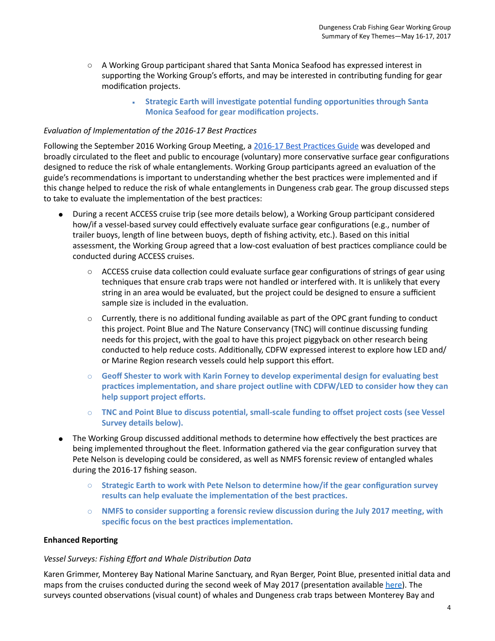- $\circ$  A Working Group participant shared that Santa Monica Seafood has expressed interest in supporting the Working Group's efforts, and may be interested in contributing funding for gear modification projects.
	- **Monica Seafood for gear modification projects.**  ▪ **Strategic Earth will investigate potential funding opportunities through Santa**

### *Evaluation of Implementation of the 2016-17 Best Practices*

Following the September 2016 Working Group Meeting, a [2016-17 Best Practices Guide](http://www.opc.ca.gov/webmaster/_media_library/2016/08/Best_Practices_Guide_Final.pdf) was developed and broadly circulated to the fleet and public to encourage (voluntary) more conservative surface gear configurations designed to reduce the risk of whale entanglements. Working Group participants agreed an evaluation of the guide's recommendations is important to understanding whether the best practices were implemented and if this change helped to reduce the risk of whale entanglements in Dungeness crab gear. The group discussed steps to take to evaluate the implementation of the best practices:

- ● During a recent ACCESS cruise trip (see more details below), a Working Group participant considered how/if a vessel-based survey could effectively evaluate surface gear configurations (e.g., number of trailer buoys, length of line between buoys, depth of fishing activity, etc.). Based on this initial assessment, the Working Group agreed that a low-cost evaluation of best practices compliance could be conducted during ACCESS cruises.
	- ○ ACCESS cruise data collection could evaluate surface gear configurations of strings of gear using techniques that ensure crab traps were not handled or interfered with. It is unlikely that every string in an area would be evaluated, but the project could be designed to ensure a sufficient sample size is included in the evaluation.
	- ○ Currently, there is no additional funding available as part of the OPC grant funding to conduct this project. Point Blue and The Nature Conservancy (TNC) will continue discussing funding needs for this project, with the goal to have this project piggyback on other research being conducted to help reduce costs. Additionally, CDFW expressed interest to explore how LED and/ or Marine Region research vessels could help support this effort.
	- **Geoff Shester to work with Karin Forney to develop experimental design for evaluating best practices implementation, and share project outline with CDFW/LED to consider how they can help support project efforts.**
	- **TNC and Point Blue to discuss potential, small-scale funding to offset project costs (see Vessel Survey details below).**
- ● The Working Group discussed additional methods to determine how effectively the best practices are being implemented throughout the fleet. Information gathered via the gear configuration survey that Pete Nelson is developing could be considered, as well as NMFS forensic review of entangled whales during the 2016-17 fishing season.
	- **Strategic Earth to work with Pete Nelson to determine how/if the gear configuration survey results can help evaluate the implementation of the best practices.**
	- **NMFS to consider supporting a forensic review discussion during the July 2017 meeting, with specific focus on the best practices implementation.**

#### **Enhanced Reporting**

### *Vessel Surveys: Fishing Effort and Whale Distribution Data*

Karen Grimmer, Monterey Bay National Marine Sanctuary, and Ryan Berger, Point Blue, presented initial data and maps from the cruises conducted during the second week of May 2017 (presentation available [here](http://www.opc.ca.gov/whale-entanglement-working-group/)). The surveys counted observations (visual count) of whales and Dungeness crab traps between Monterey Bay and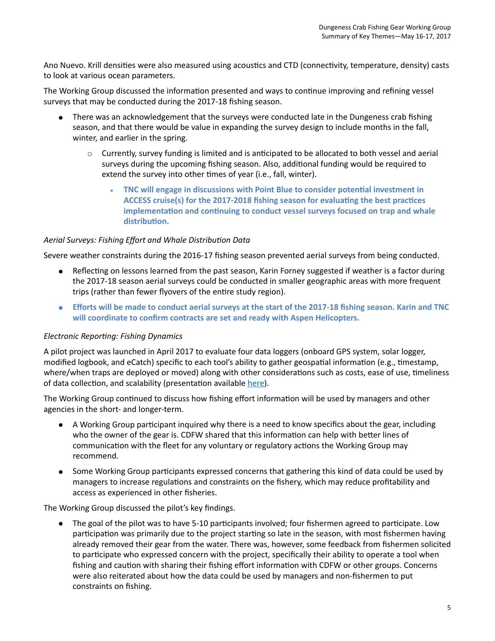Ano Nuevo. Krill densities were also measured using acoustics and CTD (connectivity, temperature, density) casts to look at various ocean parameters.

 The Working Group discussed the information presented and ways to continue improving and refining vessel surveys that may be conducted during the 2017-18 fishing season.

- ● There was an acknowledgement that the surveys were conducted late in the Dungeness crab fishing season, and that there would be value in expanding the survey design to include months in the fall, winter, and earlier in the spring.
	- ○ Currently, survey funding is limited and is anticipated to be allocated to both vessel and aerial surveys during the upcoming fishing season. Also, additional funding would be required to extend the survey into other times of year (i.e., fall, winter).
		- **ACCESS cruise(s) for the 2017-2018 fishing season for evaluating the best practices**  ▪ **TNC will engage in discussions with Point Blue to consider potential investment in implementation and continuing to conduct vessel surveys focused on trap and whale distribution.**

### *Aerial Surveys: Fishing Effort and Whale Distribution Data*

Severe weather constraints during the 2016-17 fishing season prevented aerial surveys from being conducted.

- ● Reflecting on lessons learned from the past season, Karin Forney suggested if weather is a factor during the 2017-18 season aerial surveys could be conducted in smaller geographic areas with more frequent trips (rather than fewer flyovers of the entire study region).
- **Efforts will be made to conduct aerial surveys at the start of the 2017-18 fishing season. Karin and TNC will coordinate to confirm contracts are set and ready with Aspen Helicopters.**

#### *Electronic Reporting: Fishing Dynamics*

A pilot project was launched in April 2017 to evaluate four data loggers (onboard GPS system, solar logger, modified logbook, and eCatch) specific to each tool's ability to gather geospatial information (e.g., timestamp, where/when traps are deployed or moved) along with other considerations such as costs, ease of use, timeliness of data collection, and scalability (presentation available [here\)](http://www.opc.ca.gov/whale-entanglement-working-group/).

 The Working Group continued to discuss how fishing effort information will be used by managers and other agencies in the short- and longer-term.

- ● A Working Group participant inquired why there is a need to know specifics about the gear, including who the owner of the gear is. CDFW shared that this information can help with better lines of communication with the fleet for any voluntary or regulatory actions the Working Group may recommend.
- ● Some Working Group participants expressed concerns that gathering this kind of data could be used by managers to increase regulations and constraints on the fishery, which may reduce profitability and access as experienced in other fisheries.

The Working Group discussed the pilot's key findings.

 ● The goal of the pilot was to have 5-10 participants involved; four fishermen agreed to participate. Low participation was primarily due to the project starting so late in the season, with most fishermen having already removed their gear from the water. There was, however, some feedback from fishermen solicited to participate who expressed concern with the project, specifically their ability to operate a tool when fishing and caution with sharing their fishing effort information with CDFW or other groups. Concerns were also reiterated about how the data could be used by managers and non-fishermen to put constraints on fishing.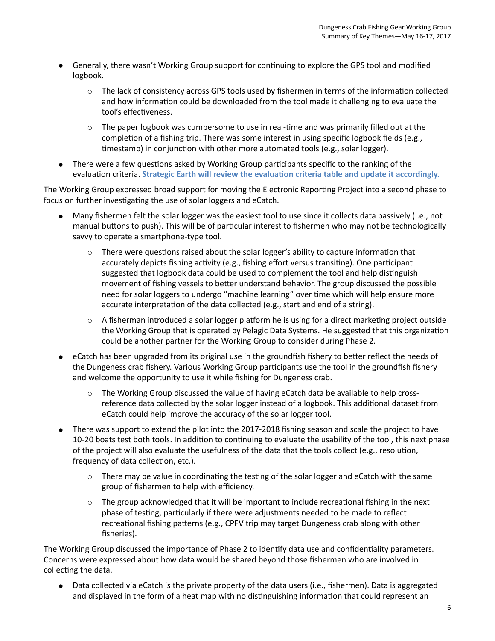- ● Generally, there wasn't Working Group support for continuing to explore the GPS tool and modified logbook.
	- $\circ$  The lack of consistency across GPS tools used by fishermen in terms of the information collected and how information could be downloaded from the tool made it challenging to evaluate the tool's effectiveness.
	- $\circ$  The paper logbook was cumbersome to use in real-time and was primarily filled out at the completion of a fishing trip. There was some interest in using specific logbook fields (e.g., timestamp) in conjunction with other more automated tools (e.g., solar logger).
- ● There were a few questions asked by Working Group participants specific to the ranking of the evaluation criteria. **Strategic Earth will review the evaluation criteria table and update it accordingly.**

 The Working Group expressed broad support for moving the Electronic Reporting Project into a second phase to focus on further investigating the use of solar loggers and eCatch.

- ● Many fishermen felt the solar logger was the easiest tool to use since it collects data passively (i.e., not manual buttons to push). This will be of particular interest to fishermen who may not be technologically savvy to operate a smartphone-type tool.
	- $\circ$  There were questions raised about the solar logger's ability to capture information that accurately depicts fishing activity (e.g., fishing effort versus transiting). One participant suggested that logbook data could be used to complement the tool and help distinguish movement of fishing vessels to better understand behavior. The group discussed the possible need for solar loggers to undergo "machine learning" over time which will help ensure more accurate interpretation of the data collected (e.g., start and end of a string).
	- $\circ$  A fisherman introduced a solar logger platform he is using for a direct marketing project outside the Working Group that is operated by Pelagic Data Systems. He suggested that this organization could be another partner for the Working Group to consider during Phase 2.
- ● eCatch has been upgraded from its original use in the groundfish fishery to better reflect the needs of the Dungeness crab fishery. Various Working Group participants use the tool in the groundfish fishery and welcome the opportunity to use it while fishing for Dungeness crab.
	- $\circ$  The Working Group discussed the value of having eCatch data be available to help cross- reference data collected by the solar logger instead of a logbook. This additional dataset from eCatch could help improve the accuracy of the solar logger tool.
- ● There was support to extend the pilot into the 2017-2018 fishing season and scale the project to have 10-20 boats test both tools. In addition to continuing to evaluate the usability of the tool, this next phase of the project will also evaluate the usefulness of the data that the tools collect (e.g., resolution, frequency of data collection, etc.).
	- There may be value in coordinating the testing of the solar logger and eCatch with the same group of fishermen to help with efficiency.
	- $\circ$  The group acknowledged that it will be important to include recreational fishing in the next phase of testing, particularly if there were adjustments needed to be made to reflect recreational fishing patterns (e.g., CPFV trip may target Dungeness crab along with other fisheries).

 The Working Group discussed the importance of Phase 2 to identify data use and confidentiality parameters. Concerns were expressed about how data would be shared beyond those fishermen who are involved in collecting the data.

 ● Data collected via eCatch is the private property of the data users (i.e., fishermen). Data is aggregated and displayed in the form of a heat map with no distinguishing information that could represent an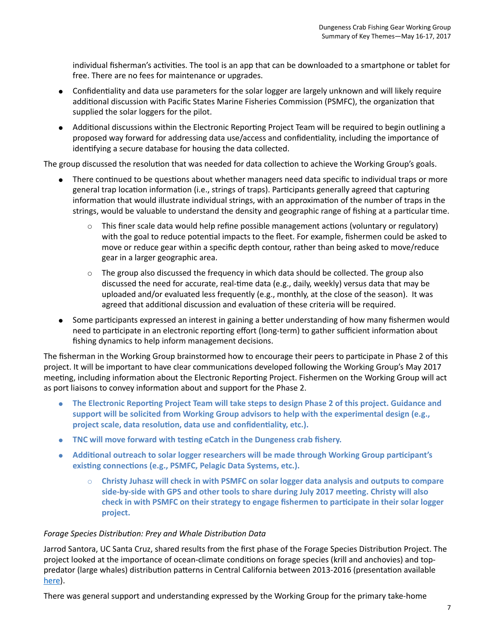individual fisherman's activities. The tool is an app that can be downloaded to a smartphone or tablet for free. There are no fees for maintenance or upgrades.

- ● Confidentiality and data use parameters for the solar logger are largely unknown and will likely require additional discussion with Pacific States Marine Fisheries Commission (PSMFC), the organization that supplied the solar loggers for the pilot.
- ● Additional discussions within the Electronic Reporting Project Team will be required to begin outlining a proposed way forward for addressing data use/access and confidentiality, including the importance of identifying a secure database for housing the data collected.

The group discussed the resolution that was needed for data collection to achieve the Working Group's goals.

- ● There continued to be questions about whether managers need data specific to individual traps or more general trap location information (i.e., strings of traps). Participants generally agreed that capturing information that would illustrate individual strings, with an approximation of the number of traps in the strings, would be valuable to understand the density and geographic range of fishing at a particular time.
	- ○ This finer scale data would help refine possible management actions (voluntary or regulatory) with the goal to reduce potential impacts to the fleet. For example, fishermen could be asked to move or reduce gear within a specific depth contour, rather than being asked to move/reduce gear in a larger geographic area.
	- $\circ$  The group also discussed the frequency in which data should be collected. The group also discussed the need for accurate, real-time data (e.g., daily, weekly) versus data that may be uploaded and/or evaluated less frequently (e.g., monthly, at the close of the season). It was agreed that additional discussion and evaluation of these criteria will be required.
- ● Some participants expressed an interest in gaining a better understanding of how many fishermen would need to participate in an electronic reporting effort (long-term) to gather sufficient information about fishing dynamics to help inform management decisions.

 The fisherman in the Working Group brainstormed how to encourage their peers to participate in Phase 2 of this project. It will be important to have clear communications developed following the Working Group's May 2017 meeting, including information about the Electronic Reporting Project. Fishermen on the Working Group will act as port liaisons to convey information about and support for the Phase 2.

- **support will be solicited from Working Group advisors to help with the experimental design (e.g., project scale, data resolution, data use and confidentiality, etc.).** ● **The Electronic Reporting Project Team will take steps to design Phase 2 of this project. Guidance and**
- **TNC will move forward with testing eCatch in the Dungeness crab fishery.**
- **Additional outreach to solar logger researchers will be made through Working Group participant's existing connections (e.g., PSMFC, Pelagic Data Systems, etc.).** 
	- **Christy Juhasz will check in with PSMFC on solar logger data analysis and outputs to compare check in with PSMFC on their strategy to engage fishermen to participate in their solar logger side-by-side with GPS and other tools to share during July 2017 meeting. Christy will also project.**

### *Forage Species Distribution: Prey and Whale Distribution Data*

 Jarrod Santora, UC Santa Cruz, shared results from the first phase of the Forage Species Distribution Project. The project looked at the importance of ocean-climate conditions on forage species (krill and anchovies) and top- predator (large whales) distribution patterns in Central California between 2013-2016 (presentation available [here](http://www.opc.ca.gov/whale-entanglement-working-group/)).

There was general support and understanding expressed by the Working Group for the primary take-home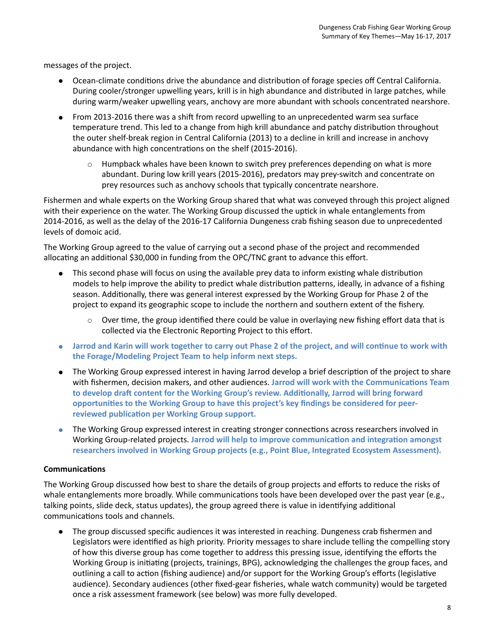messages of the project.

- ● Ocean-climate conditions drive the abundance and distribution of forage species off Central California. During cooler/stronger upwelling years, krill is in high abundance and distributed in large patches, while during warm/weaker upwelling years, anchovy are more abundant with schools concentrated nearshore.
- ● From 2013-2016 there was a shift from record upwelling to an unprecedented warm sea surface temperature trend. This led to a change from high krill abundance and patchy distribution throughout the outer shelf-break region in Central California (2013) to a decline in krill and increase in anchovy abundance with high concentrations on the shelf (2015-2016).
	- $\circ$  Humpback whales have been known to switch prey preferences depending on what is more abundant. During low krill years (2015-2016), predators may prey-switch and concentrate on prey resources such as anchovy schools that typically concentrate nearshore.

 Fishermen and whale experts on the Working Group shared that what was conveyed through this project aligned with their experience on the water. The Working Group discussed the uptick in whale entanglements from 2014-2016, as well as the delay of the 2016-17 California Dungeness crab fishing season due to unprecedented levels of domoic acid.

 The Working Group agreed to the value of carrying out a second phase of the project and recommended allocating an additional \$30,000 in funding from the OPC/TNC grant to advance this effort.

- ● This second phase will focus on using the available prey data to inform existing whale distribution models to help improve the ability to predict whale distribution patterns, ideally, in advance of a fishing season. Additionally, there was general interest expressed by the Working Group for Phase 2 of the project to expand its geographic scope to include the northern and southern extent of the fishery.
	- $\circ$  Over time, the group identified there could be value in overlaying new fishing effort data that is collected via the Electronic Reporting Project to this effort.
- **● Jarrod and Karin will work together to carry out Phase 2 of the project, and will continue to work with the Forage/Modeling Project Team to help inform next steps.**
- ● The Working Group expressed interest in having Jarrod develop a brief description of the project to share with fishermen, decision makers, and other audiences. **Jarrod will work with the Communications Team to develop draft content for the Working Group's review. Additionally, Jarrod will bring forward opportunities to the Working Group to have this project's key findings be considered for peer- reviewed publication per Working Group support.**
- **●** The Working Group expressed interest in creating stronger connections across researchers involved in Working Group-related projects. **Jarrod will help to improve communication and integration amongst researchers involved in Working Group projects (e.g., Point Blue, Integrated Ecosystem Assessment).**

#### **Communications**

 The Working Group discussed how best to share the details of group projects and efforts to reduce the risks of whale entanglements more broadly. While communications tools have been developed over the past year (e.g., talking points, slide deck, status updates), the group agreed there is value in identifying additional communications tools and channels.

 ● The group discussed specific audiences it was interested in reaching. Dungeness crab fishermen and Legislators were identified as high priority. Priority messages to share include telling the compelling story of how this diverse group has come together to address this pressing issue, identifying the efforts the Working Group is initiating (projects, trainings, BPG), acknowledging the challenges the group faces, and outlining a call to action (fishing audience) and/or support for the Working Group's efforts (legislative audience). Secondary audiences (other fixed-gear fisheries, whale watch community) would be targeted once a risk assessment framework (see below) was more fully developed.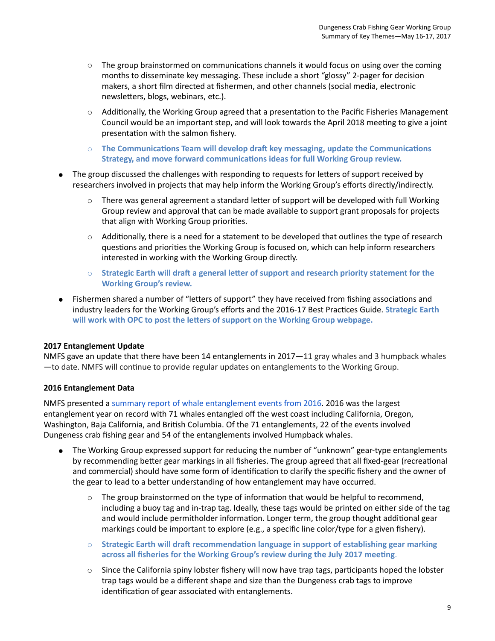- $\circ$  The group brainstormed on communications channels it would focus on using over the coming months to disseminate key messaging. These include a short "glossy" 2-pager for decision makers, a short film directed at fishermen, and other channels (social media, electronic newsletters, blogs, webinars, etc.).
- ○ Additionally, the Working Group agreed that a presentation to the Pacific Fisheries Management Council would be an important step, and will look towards the April 2018 meeting to give a joint presentation with the salmon fishery.
- **Strategy, and move forward communications ideas for full Working Group review.**  ○ **The Communications Team will develop draft key messaging, update the Communications**
- ● The group discussed the challenges with responding to requests for letters of support received by researchers involved in projects that may help inform the Working Group's efforts directly/indirectly.
	- $\circ$  There was general agreement a standard letter of support will be developed with full Working Group review and approval that can be made available to support grant proposals for projects that align with Working Group priorities.
	- $\circ$  Additionally, there is a need for a statement to be developed that outlines the type of research questions and priorities the Working Group is focused on, which can help inform researchers interested in working with the Working Group directly.
	- **Working Group's review.**  ○ **Strategic Earth will draft a general letter of support and research priority statement for the**
- ● Fishermen shared a number of "letters of support" they have received from fishing associations and industry leaders for the Working Group's efforts and the 2016-17 Best Practices Guide. **Strategic Earth will work with OPC to post the letters of support on the Working Group webpage.**

### **2017 Entanglement Update**

 NMFS gave an update that there have been 14 entanglements in 2017—11 gray whales and 3 humpback whales —to date. NMFS will continue to provide regular updates on entanglements to the Working Group.

### **2016 Entanglement Data**

NMFS presented a summary report of whale entanglement events from 2016. 2016 was the largest entanglement year on record with 71 whales entangled off the west coast including California, Oregon, Washington, Baja California, and British Columbia. Of the 71 entanglements, 22 of the events involved Dungeness crab fishing gear and 54 of the entanglements involved Humpback whales.

- ● The Working Group expressed support for reducing the number of "unknown" gear-type entanglements by recommending better gear markings in all fisheries. The group agreed that all fixed-gear (recreational and commercial) should have some form of identification to clarify the specific fishery and the owner of the gear to lead to a better understanding of how entanglement may have occurred.
	- $\circ$  The group brainstormed on the type of information that would be helpful to recommend, including a buoy tag and in-trap tag. Ideally, these tags would be printed on either side of the tag and would include permitholder information. Longer term, the group thought additional gear markings could be important to explore (e.g., a specific line color/type for a given fishery).
	- **Strategic Earth will draft recommendation language in support of establishing gear marking across all fisheries for the Working Group's review during the July 2017 meeting**.
	- $\circ$  Since the California spiny lobster fishery will now have trap tags, participants hoped the lobster trap tags would be a different shape and size than the Dungeness crab tags to improve identification of gear associated with entanglements.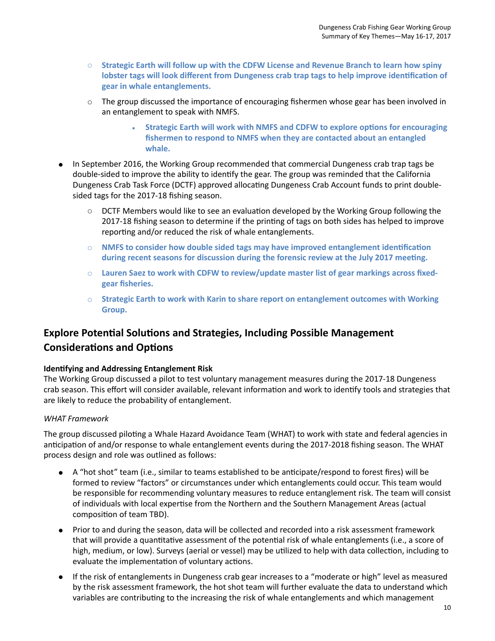- **Strategic Earth will follow up with the CDFW License and Revenue Branch to learn how spiny lobster tags will look different from Dungeness crab trap tags to help improve identification of gear in whale entanglements.**
- $\circ$  The group discussed the importance of encouraging fishermen whose gear has been involved in an entanglement to speak with NMFS.
	- **Strategic Earth will work with NMFS and CDFW to explore options for encouraging fishermen to respond to NMFS when they are contacted about an entangled whale.**
- **●** In September 2016, the Working Group recommended that commercial Dungeness crab trap tags be double-sided to improve the ability to identify the gear. The group was reminded that the California Dungeness Crab Task Force (DCTF) approved allocating Dungeness Crab Account funds to print doublesided tags for the 2017-18 fishing season.
	- $\circ$  DCTF Members would like to see an evaluation developed by the Working Group following the 2017-18 fishing season to determine if the printing of tags on both sides has helped to improve reporting and/or reduced the risk of whale entanglements.
	- **NMFS to consider how double sided tags may have improved entanglement identification during recent seasons for discussion during the forensic review at the July 2017 meeting.**
	- **Lauren Saez to work with CDFW to review/update master list of gear markings across fixedgear fisheries.**
	- **Strategic Earth to work with Karin to share report on entanglement outcomes with Working Group.**

## **Explore Potential Solutions and Strategies, Including Possible Management Considerations and Options**

### **Identifying and Addressing Entanglement Risk**

The Working Group discussed a pilot to test voluntary management measures during the 2017-18 Dungeness crab season. This effort will consider available, relevant information and work to identify tools and strategies that are likely to reduce the probability of entanglement.

## *WHAT Framework*

The group discussed piloting a Whale Hazard Avoidance Team (WHAT) to work with state and federal agencies in anticipation of and/or response to whale entanglement events during the 2017-2018 fishing season. The WHAT process design and role was outlined as follows:

- A "hot shot" team (i.e., similar to teams established to be anticipate/respond to forest fires) will be formed to review "factors" or circumstances under which entanglements could occur. This team would be responsible for recommending voluntary measures to reduce entanglement risk. The team will consist of individuals with local expertise from the Northern and the Southern Management Areas (actual composition of team TBD).
- Prior to and during the season, data will be collected and recorded into a risk assessment framework that will provide a quantitative assessment of the potential risk of whale entanglements (i.e., a score of high, medium, or low). Surveys (aerial or vessel) may be utilized to help with data collection, including to evaluate the implementation of voluntary actions.
- If the risk of entanglements in Dungeness crab gear increases to a "moderate or high" level as measured by the risk assessment framework, the hot shot team will further evaluate the data to understand which variables are contributing to the increasing the risk of whale entanglements and which management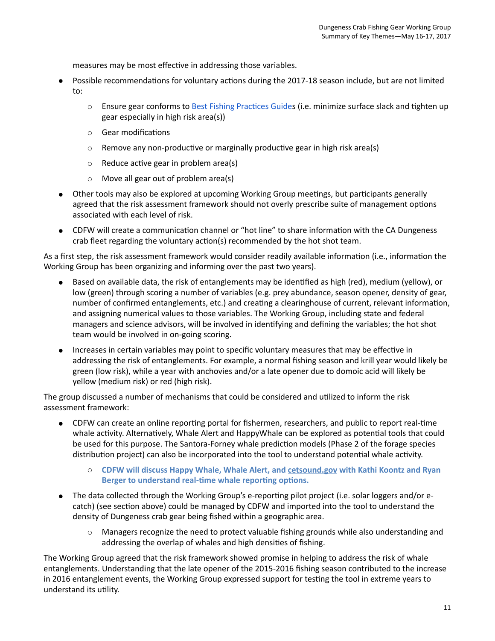measures may be most effective in addressing those variables.

- ● Possible recommendations for voluntary actions during the 2017-18 season include, but are not limited to:
	- Ensure gear conforms to **Best Fishing Practices Guides (i.e. minimize surface slack and tighten up** gear especially in high risk area(s))
	- Gear modifications
	- $\circ$  Remove any non-productive or marginally productive gear in high risk area(s)
	- Reduce active gear in problem area(s)
	- Move all gear out of problem area(s)
- Other tools may also be explored at upcoming Working Group meetings, but participants generally agreed that the risk assessment framework should not overly prescribe suite of management options associated with each level of risk.
- CDFW will create a communication channel or "hot line" to share information with the CA Dungeness crab fleet regarding the voluntary action(s) recommended by the hot shot team.

As a first step, the risk assessment framework would consider readily available information (i.e., information the Working Group has been organizing and informing over the past two years).

- Based on available data, the risk of entanglements may be identified as high (red), medium (yellow), or low (green) through scoring a number of variables (e.g. prey abundance, season opener, density of gear, number of confirmed entanglements, etc.) and creating a clearinghouse of current, relevant information, and assigning numerical values to those variables. The Working Group, including state and federal managers and science advisors, will be involved in identifying and defining the variables; the hot shot team would be involved in on-going scoring.
- Increases in certain variables may point to specific voluntary measures that may be effective in addressing the risk of entanglements. For example, a normal fishing season and krill year would likely be green (low risk), while a year with anchovies and/or a late opener due to domoic acid will likely be yellow (medium risk) or red (high risk).

The group discussed a number of mechanisms that could be considered and utilized to inform the risk assessment framework:

- CDFW can create an online reporting portal for fishermen, researchers, and public to report real-time whale activity. Alternatively, Whale Alert and HappyWhale can be explored as potential tools that could be used for this purpose. The Santora-Forney whale prediction models (Phase 2 of the forage species distribution project) can also be incorporated into the tool to understand potential whale activity.
	- $\circ$  **CDFW will discuss Happy Whale, Whale Alert, and [cetsound.gov](http://cetsound.gov/) with Kathi Koontz and Ryan Berger to understand real-time whale reporting options.**
- The data collected through the Working Group's e-reporting pilot project (i.e. solar loggers and/or ecatch) (see section above) could be managed by CDFW and imported into the tool to understand the density of Dungeness crab gear being fished within a geographic area.
	- $\circ$  Managers recognize the need to protect valuable fishing grounds while also understanding and addressing the overlap of whales and high densities of fishing.

The Working Group agreed that the risk framework showed promise in helping to address the risk of whale entanglements. Understanding that the late opener of the 2015-2016 fishing season contributed to the increase in 2016 entanglement events, the Working Group expressed support for testing the tool in extreme years to understand its utility.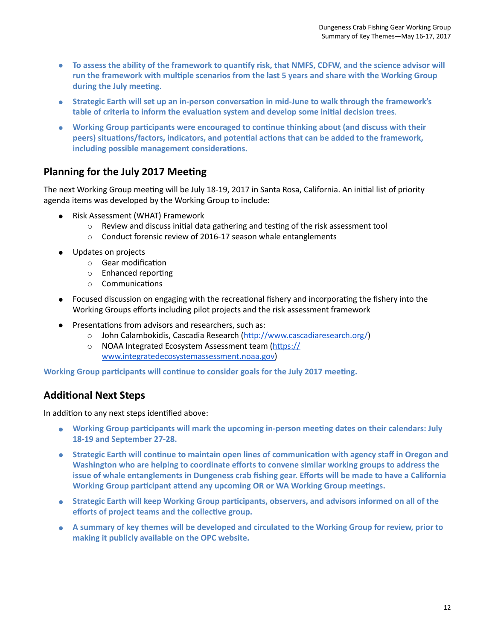- **To assess the ability of the framework to quantify risk, that NMFS, CDFW, and the science advisor will run the framework with multiple scenarios from the last 5 years and share with the Working Group during the July meeting**.
- **Strategic Earth will set up an in-person conversation in mid-June to walk through the framework's table of criteria to inform the evaluation system and develop some initial decision trees**.
- **Working Group participants were encouraged to continue thinking about (and discuss with their peers) situations/factors, indicators, and potential actions that can be added to the framework, including possible management considerations.**

## **Planning for the July 2017 Meeting**

 The next Working Group meeting will be July 18-19, 2017 in Santa Rosa, California. An initial list of priority agenda items was developed by the Working Group to include:

- ● Risk Assessment (WHAT) Framework
	- Review and discuss initial data gathering and testing of the risk assessment tool
	- $\circ$  Conduct forensic review of 2016-17 season whale entanglements
- ● Updates on projects
	- Gear modification
	- Enhanced reporting
	- Communications
- ● Focused discussion on engaging with the recreational fishery and incorporating the fishery into the Working Groups efforts including pilot projects and the risk assessment framework
- ● Presentations from advisors and researchers, such as:
	- John Calambokidis, Cascadia Research (<http://www.cascadiaresearch.org/>)
	- NOAA Integrated Ecosystem Assessment team [\(https://](https://www.integratedecosystemassessment.noaa.gov) [www.integratedecosystemassessment.noaa.gov\)](https://www.integratedecosystemassessment.noaa.gov)

 **Working Group participants will continue to consider goals for the July 2017 meeting.** 

## **Additional Next Steps**

In addition to any next steps identified above:

- **Working Group participants will mark the upcoming in-person meeting dates on their calendars: July 18-19 and September 27-28.**
- **Washington who are helping to coordinate efforts to convene similar working groups to address the issue of whale entanglements in Dungeness crab fishing gear. Efforts will be made to have a California Working Group participant attend any upcoming OR or WA Working Group meetings.**  ● **Strategic Earth will continue to maintain open lines of communication with agency staff in Oregon and**
- **Strategic Earth will keep Working Group participants, observers, and advisors informed on all of the efforts of project teams and the collective group.**
- **A summary of key themes will be developed and circulated to the Working Group for review, prior to making it publicly available on the OPC website.**